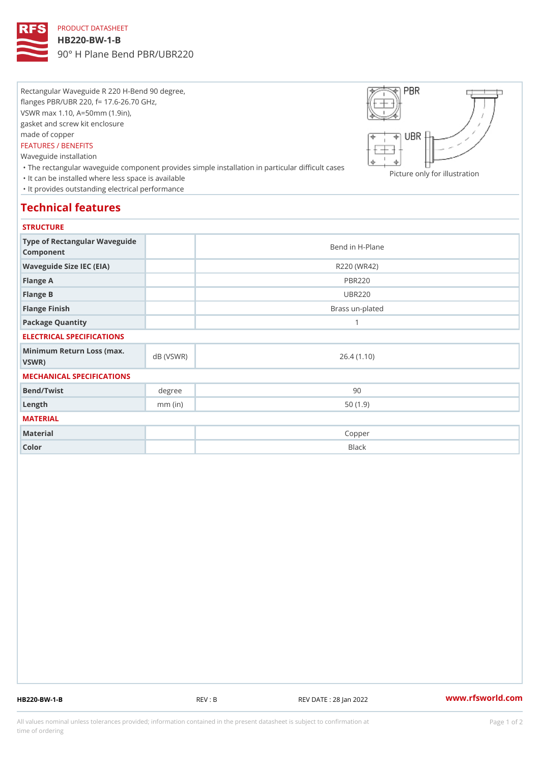## PRODUCT DATASHEET

#### HB220-BW-1-B

90° H Plane Bend PBR/UBR220

Rectangular Waveguide R 220 H-Bend 90 degree, flanges PBR/UBR 220, f= 17.6-26.70 GHz, VSWR max 1.10, A=50mm (1.9in), gasket and screw kit enclosure made of copper FEATURES / BENEFITS Waveguide installation

 "The rectangular waveguide component provides simple installation in particular difficult cases Picture only for illustration "It can be installed where less space is available "It provides outstanding electrical performance

# Technical features

### **STRUCTURE**

| .                                                |           |                 |
|--------------------------------------------------|-----------|-----------------|
| Type of Rectangular Waveguide<br>Component       |           | Bend in H-Plane |
| Waveguide Size IEC (EIA)                         |           | R220 (WR42)     |
| Flange A                                         |           | <b>PBR220</b>   |
| Flange B                                         |           | <b>UBR220</b>   |
| Flange Finish                                    |           | Brass un-plated |
| Package Quantity                                 |           | 1               |
| ELECTRICAL SPECIFICATIONS                        |           |                 |
| Minimum Return Loss (nax (VSWR)<br>$V$ S W R $)$ |           | 26.4(1.10)      |
| MECHANICAL SPECIFICATIONS                        |           |                 |
| Bend/Twist                                       | degree    | 90              |
| $L$ ength                                        | $mm$ (in) | 50(1.9)         |
| MATERIAL                                         |           |                 |
| Material                                         |           | Copper          |
| Color                                            |           | Black           |

HB220-BW-1-B REV : B REV DATE : 28 Jan 2022 [www.](https://www.rfsworld.com)rfsworld.com